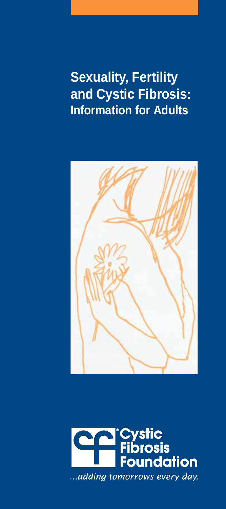# **Sexuality, Fertility and Cystic Fibrosis: Information for Adults**



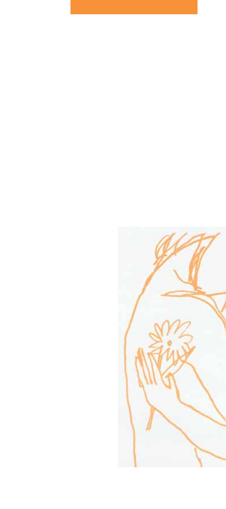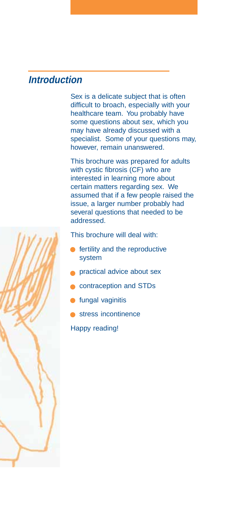# **Introduction**

Sex is a delicate subject that is often difficult to broach, especially with your healthcare team. You probably have some questions about sex, which you may have already discussed with a specialist. Some of your questions may, however, remain unanswered.

 certain matters regarding sex. We This brochure was prepared for adults with cystic fibrosis (CF) who are interested in learning more about assumed that if a few people raised the issue, a larger number probably had several questions that needed to be addressed.

This brochure will deal with:

- $\bullet$  fertility and the reproductive system
- practical advice about sex
- **Contraception and STDs**
- **fungal vaginitis**
- stress incontinence

Happy reading!

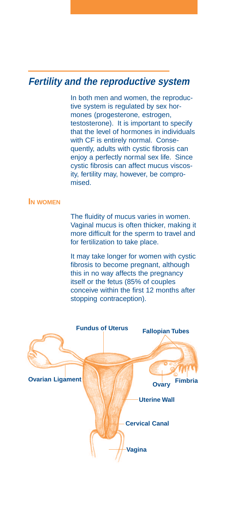# **Fertility and the reproductive system**

In both men and women, the reproductive system is regulated by sex hormones (progesterone, estrogen, testosterone). It is important to specify that the level of hormones in individuals with CF is entirely normal. Consequently, adults with cystic fibrosis can enjoy a perfectly normal sex life. Since cystic fibrosis can affect mucus viscosity, fertility may, however, be compromised.

### **IN WOMEN**

The fluidity of mucus varies in women. Vaginal mucus is often thicker, making it more difficult for the sperm to travel and for fertilization to take place.

It may take longer for women with cystic fibrosis to become pregnant, although this in no way affects the pregnancy itself or the fetus (85% of couples conceive within the first 12 months after stopping contraception).

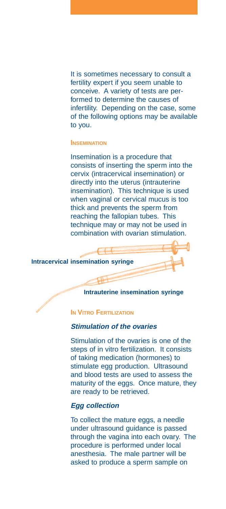It is sometimes necessary to consult a fertility expert if you seem unable to conceive. A variety of tests are performed to determine the causes of infertility. Depending on the case, some of the following options may be available to you.

### **INSEMINATION**

 insemination). This technique is used reaching the fallopian tubes. This Insemination is a procedure that consists of inserting the sperm into the cervix (intracervical insemination) or directly into the uterus (intrauterine when vaginal or cervical mucus is too thick and prevents the sperm from technique may or may not be used in combination with ovarian stimulation.



### **Intrauterine insemination syringe**

### **IN VITRO FERTILIZATION**

### **Stimulation of the ovaries**

Stimulation of the ovaries is one of the steps of in vitro fertilization. It consists of taking medication (hormones) to stimulate egg production. Ultrasound and blood tests are used to assess the maturity of the eggs. Once mature, they are ready to be retrieved.

### **Egg collection**

 through the vagina into each ovary. The anesthesia. The male partner will be To collect the mature eggs, a needle under ultrasound guidance is passed procedure is performed under local asked to produce a sperm sample on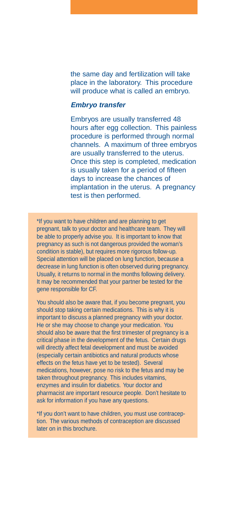place in the laboratory. This procedure the same day and fertilization will take will produce what is called an embryo.

### **Embryo transfer**

 hours after egg collection. This painless Embryos are usually transferred 48 procedure is performed through normal channels. A maximum of three embryos are usually transferred to the uterus. Once this step is completed, medication is usually taken for a period of fifteen days to increase the chances of implantation in the uterus. A pregnancy test is then performed.

 pregnant, talk to your doctor and healthcare team. They will \*If you want to have children and are planning to get be able to properly advise you. It is important to know that pregnancy as such is not dangerous provided the woman's condition is stable), but requires more rigorous follow-up. Special attention will be placed on lung function, because a decrease in lung function is often observed during pregnancy. Usually, it returns to normal in the months following delivery. It may be recommended that your partner be tested for the gene responsible for CF.

 should stop taking certain medications. This is why it is He or she may choose to change your medication. You taken throughout pregnancy. This includes vitamins, enzymes and insulin for diabetics. Your doctor and You should also be aware that, if you become pregnant, you important to discuss a planned pregnancy with your doctor. should also be aware that the first trimester of pregnancy is a critical phase in the development of the fetus. Certain drugs will directly affect fetal development and must be avoided (especially certain antibiotics and natural products whose effects on the fetus have yet to be tested). Several medications, however, pose no risk to the fetus and may be pharmacist are important resource people. Don't hesitate to ask for information if you have any questions.

 tion. The various methods of contraception are discussed \*If you don't want to have children, you must use contraceplater on in this brochure.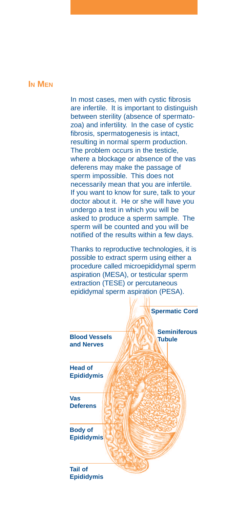### **IN MEN**

 sperm impossible. This does not asked to produce a sperm sample. The In most cases, men with cystic fibrosis are infertile. It is important to distinguish between sterility (absence of spermatozoa) and infertility. In the case of cystic fibrosis, spermatogenesis is intact, resulting in normal sperm production. The problem occurs in the testicle, where a blockage or absence of the vas deferens may make the passage of necessarily mean that you are infertile. If you want to know for sure, talk to your doctor about it. He or she will have you undergo a test in which you will be sperm will be counted and you will be notified of the results within a few days.

Thanks to reproductive technologies, it is possible to extract sperm using either a procedure called microepididymal sperm aspiration (MESA), or testicular sperm extraction (TESE) or percutaneous epididymal sperm aspiration (PESA).

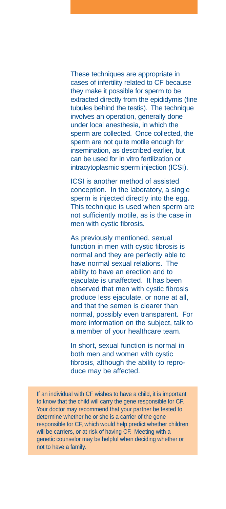tubules behind the testis). The technique These techniques are appropriate in cases of infertility related to CF because they make it possible for sperm to be extracted directly from the epididymis (fine involves an operation, generally done under local anesthesia, in which the sperm are collected. Once collected, the sperm are not quite motile enough for insemination, as described earlier, but can be used for in vitro fertilization or intracytoplasmic sperm injection (ICSI).

ICSI is another method of assisted conception. In the laboratory, a single sperm is injected directly into the egg. This technique is used when sperm are not sufficiently motile, as is the case in men with cystic fibrosis.

 have normal sexual relations. The As previously mentioned, sexual function in men with cystic fibrosis is normal and they are perfectly able to ability to have an erection and to ejaculate is unaffected. It has been observed that men with cystic fibrosis produce less ejaculate, or none at all, and that the semen is clearer than normal, possibly even transparent. For more information on the subject, talk to a member of your healthcare team.

In short, sexual function is normal in both men and women with cystic fibrosis, although the ability to reproduce may be affected.

If an individual with CF wishes to have a child, it is important to know that the child will carry the gene responsible for CF. Your doctor may recommend that your partner be tested to determine whether he or she is a carrier of the gene responsible for CF, which would help predict whether children will be carriers, or at risk of having CF. Meeting with a genetic counselor may be helpful when deciding whether or not to have a family.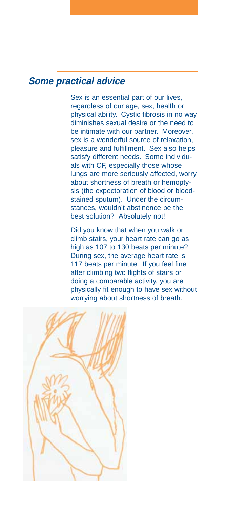# **Some practical advice**

Sex is an essential part of our lives, regardless of our age, sex, health or physical ability. Cystic fibrosis in no way diminishes sexual desire or the need to be intimate with our partner. Moreover, sex is a wonderful source of relaxation, pleasure and fulfillment. Sex also helps satisfy different needs. Some individuals with CF, especially those whose lungs are more seriously affected, worry about shortness of breath or hemoptysis (the expectoration of blood or bloodstained sputum). Under the circumstances, wouldn't abstinence be the best solution? Absolutely not!

Did you know that when you walk or climb stairs, your heart rate can go as high as 107 to 130 beats per minute? During sex, the average heart rate is 117 beats per minute. If you feel fine after climbing two flights of stairs or doing a comparable activity, you are physically fit enough to have sex without worrying about shortness of breath.

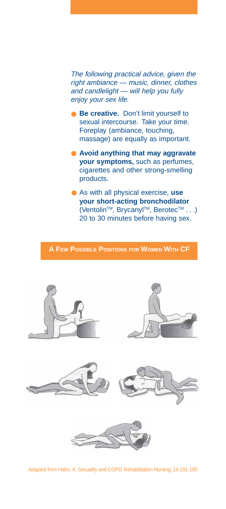The following practical advice, given the right ambiance — music, dinner, clothes and candlelight — will help you fully enjoy your sex life.

- **Be creative.** Don't limit yourself to sexual intercourse. Take your time. Foreplay (ambiance, touching, massage) are equally as important.
- **Avoid anything that may aggravate your symptoms,** such as perfumes, cigarettes and other strong-smelling products.
- As with all physical exercise, **use your short-acting bronchodilator**  (Ventolin<sup>™</sup>, Brycanyl<sup>™</sup>, Berotec<sup>™</sup> . . .) 20 to 30 minutes before having sex.

### **A FEW POSSIBLE POSITIONS FOR WOMEN WITH CF**



Adapted from Hahn, K. Sexuality and COPD. Rehabilitation Nursing; 14:191-195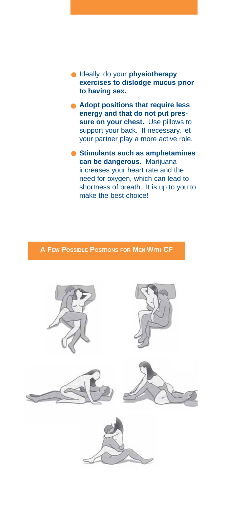- Ideally, do your **physiotherapy exercises to dislodge mucus prior to having sex.**
- **Adopt positions that require less energy and that do not put pressure on your chest.** Use pillows to support your back. If necessary, let your partner play a more active role.
- **Stimulants such as amphetamines can be dangerous.** Marijuana increases your heart rate and the need for oxygen, which can lead to shortness of breath. It is up to you to make the best choice!

### **A FEW POSSIBLE POSITIONS FOR MEN WITH CF**

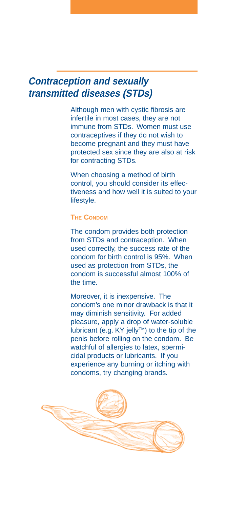# **Contraception and sexually transmitted diseases (STDs)**

 immune from STDs. Women must use Although men with cystic fibrosis are infertile in most cases, they are not contraceptives if they do not wish to become pregnant and they must have protected sex since they are also at risk for contracting STDs.

When choosing a method of birth control, you should consider its effectiveness and how well it is suited to your lifestyle.

### **THE CONDOM**

 from STDs and contraception. When condom for birth control is 95%. When The condom provides both protection used correctly, the success rate of the used as protection from STDs, the condom is successful almost 100% of the time.

 Moreover, it is inexpensive. The condom's one minor drawback is that it may diminish sensitivity. For added pleasure, apply a drop of water-soluble lubricant (e.g. KY jelly<sup>TM</sup>) to the tip of the penis before rolling on the condom. Be watchful of allergies to latex, spermicidal products or lubricants. If you experience any burning or itching with condoms, try changing brands.

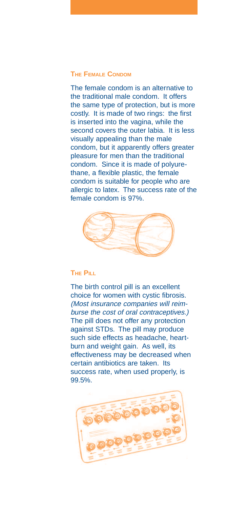### **THE FEMALE CONDOM**

 allergic to latex. The success rate of the The female condom is an alternative to the traditional male condom. It offers the same type of protection, but is more costly. It is made of two rings: the first is inserted into the vagina, while the second covers the outer labia. It is less visually appealing than the male condom, but it apparently offers greater pleasure for men than the traditional condom. Since it is made of polyurethane, a flexible plastic, the female condom is suitable for people who are female condom is 97%.



### **THE PILL**

 against STDs. The pill may produce The birth control pill is an excellent choice for women with cystic fibrosis. (Most insurance companies will reimburse the cost of oral contraceptives.) The pill does not offer any protection such side effects as headache, heartburn and weight gain. As well, its effectiveness may be decreased when certain antibiotics are taken. Its success rate, when used properly, is 99.5%.

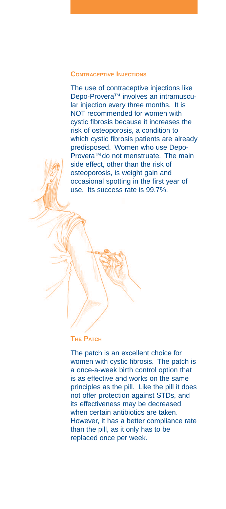### **CONTRACEPTIVE INJECTIONS**

 predisposed. Women who use Depo-Provera<sup>™</sup> do not menstruate. The main The use of contraceptive injections like Depo-Provera<sup>™</sup> involves an intramuscular injection every three months. It is NOT recommended for women with cystic fibrosis because it increases the risk of osteoporosis, a condition to which cystic fibrosis patients are already side effect, other than the risk of osteoporosis, is weight gain and occasional spotting in the first year of use. Its success rate is 99.7%.

### **THE PATCH**

 women with cystic fibrosis. The patch is The patch is an excellent choice for a once-a-week birth control option that is as effective and works on the same principles as the pill. Like the pill it does not offer protection against STDs, and its effectiveness may be decreased when certain antibiotics are taken. However, it has a better compliance rate than the pill, as it only has to be replaced once per week.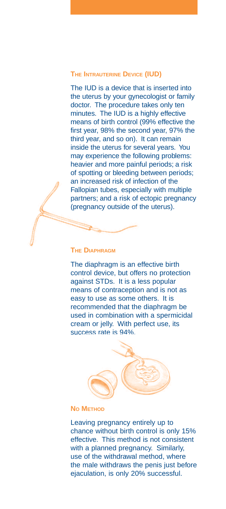### **THE INTRAUTERINE DEVICE (IUD)**

 doctor. The procedure takes only ten minutes. The IUD is a highly effective inside the uterus for several years. You The IUD is a device that is inserted into the uterus by your gynecologist or family means of birth control (99% effective the first year, 98% the second year, 97% the third year, and so on). It can remain may experience the following problems: heavier and more painful periods; a risk of spotting or bleeding between periods; an increased risk of infection of the Fallopian tubes, especially with multiple partners; and a risk of ectopic pregnancy (pregnancy outside of the uterus).

### **THE DIAPHRAGM**

 cream or jelly. With perfect use, its The diaphragm is an effective birth control device, but offers no protection against STDs. It is a less popular means of contraception and is not as easy to use as some others. It is recommended that the diaphragm be used in combination with a spermicidal success rate is 94%.



### **NO METHOD**

 effective. This method is not consistent Leaving pregnancy entirely up to chance without birth control is only 15% with a planned pregnancy. Similarly, use of the withdrawal method, where the male withdraws the penis just before ejaculation, is only 20% successful.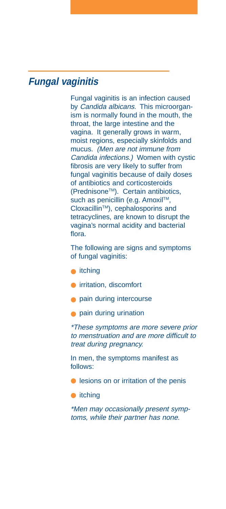# **Fungal vaginitis**

by *Candida albicans*. This microorgan- mucus. (Men are not immune from Candida infections.) Women with cystic Fungal vaginitis is an infection caused ism is normally found in the mouth, the throat, the large intestine and the vagina. It generally grows in warm, moist regions, especially skinfolds and fibrosis are very likely to suffer from fungal vaginitis because of daily doses of antibiotics and corticosteroids (Prednisone™). Certain antibiotics. such as penicillin (e.g. Amoxil™, Cloxacillin<sup>™</sup>), cephalosporins and tetracyclines, are known to disrupt the vagina's normal acidity and bacterial flora.

The following are signs and symptoms of fungal vaginitis:

- itching
- **O** irritation, discomfort
- **pain during intercourse**
- **pain during urination**

\*These symptoms are more severe prior to menstruation and are more difficult to treat during pregnancy.

In men, the symptoms manifest as follows:

- **lesions on or irritation of the penis**
- itching

\*Men may occasionally present symptoms, while their partner has none.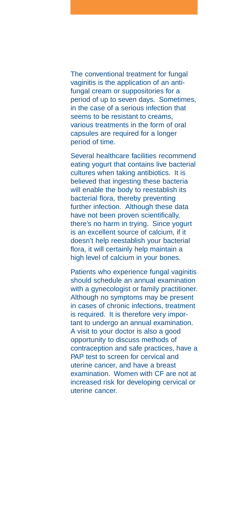The conventional treatment for fungal vaginitis is the application of an antifungal cream or suppositories for a period of up to seven days. Sometimes, in the case of a serious infection that seems to be resistant to creams, various treatments in the form of oral capsules are required for a longer period of time.

Several healthcare facilities recommend eating yogurt that contains live bacterial cultures when taking antibiotics. It is believed that ingesting these bacteria will enable the body to reestablish its bacterial flora, thereby preventing further infection. Although these data have not been proven scientifically, there's no harm in trying. Since yogurt is an excellent source of calcium, if it doesn't help reestablish your bacterial flora, it will certainly help maintain a high level of calcium in your bones.

 examination. Women with CF are not at Patients who experience fungal vaginitis should schedule an annual examination with a gynecologist or family practitioner. Although no symptoms may be present in cases of chronic infections, treatment is required. It is therefore very important to undergo an annual examination. A visit to your doctor is also a good opportunity to discuss methods of contraception and safe practices, have a PAP test to screen for cervical and uterine cancer, and have a breast increased risk for developing cervical or uterine cancer.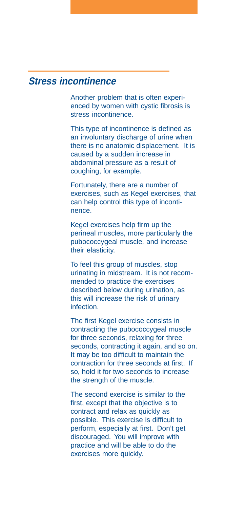# **Stress incontinence**

Another problem that is often experienced by women with cystic fibrosis is stress incontinence.

This type of incontinence is defined as an involuntary discharge of urine when there is no anatomic displacement. It is caused by a sudden increase in abdominal pressure as a result of coughing, for example.

Fortunately, there are a number of exercises, such as Kegel exercises, that can help control this type of incontinence.

Kegel exercises help firm up the perineal muscles, more particularly the pubococcygeal muscle, and increase their elasticity.

To feel this group of muscles, stop urinating in midstream. It is not recommended to practice the exercises described below during urination, as this will increase the risk of urinary infection.

The first Kegel exercise consists in contracting the pubococcygeal muscle for three seconds, relaxing for three seconds, contracting it again, and so on. It may be too difficult to maintain the contraction for three seconds at first. If so, hold it for two seconds to increase the strength of the muscle.

 possible. This exercise is difficult to discouraged. You will improve with The second exercise is similar to the first, except that the objective is to contract and relax as quickly as perform, especially at first. Don't get practice and will be able to do the exercises more quickly.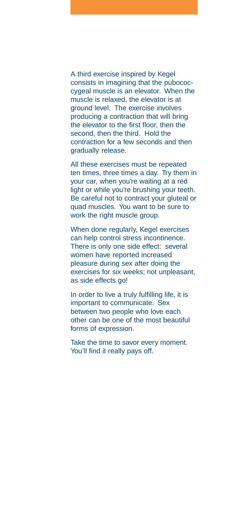cygeal muscle is an elevator. When the ground level. The exercise involves A third exercise inspired by Kegel consists in imagining that the pubococmuscle is relaxed, the elevator is at producing a contraction that will bring the elevator to the first floor, then the second, then the third. Hold the contraction for a few seconds and then gradually release.

 ten times, three times a day. Try them in quad muscles. You want to be sure to All these exercises must be repeated your car, when you're waiting at a red light or while you're brushing your teeth. Be careful not to contract your gluteal or work the right muscle group.

When done regularly, Kegel exercises can help control stress incontinence. There is only one side effect: several women have reported increased pleasure during sex after doing the exercises for six weeks; not unpleasant, as side effects go!

In order to live a truly fulfilling life, it is important to communicate. Sex between two people who love each other can be one of the most beautiful forms of expression.

Take the time to savor every moment. You'll find it really pays off.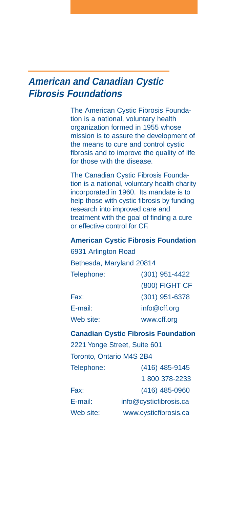# **American and Canadian Cystic Fibrosis Foundations**

The American Cystic Fibrosis Foundation is a national, voluntary health organization formed in 1955 whose mission is to assure the development of the means to cure and control cystic fibrosis and to improve the quality of life for those with the disease.

The Canadian Cystic Fibrosis Foundation is a national, voluntary health charity incorporated in 1960. Its mandate is to help those with cystic fibrosis by funding research into improved care and treatment with the goal of finding a cure or effective control for CF.

### **American Cystic Fibrosis Foundation**

6931 Arlington Road Bethesda, Maryland 20814

| Telephone: | (301) 951-4422 |
|------------|----------------|
|            | (800) FIGHT CF |
| Fax:       | (301) 951-6378 |
| E-mail:    | info@cff.org   |
| Web site:  | www.cff.org    |

**Canadian Cystic Fibrosis Foundation** 

2221 Yonge Street, Suite 601 Toronto, Ontario M4S 2B4

| Telephone: | (416) 485-9145         |
|------------|------------------------|
|            | 1800 378-2233          |
| Fax:       | (416) 485-0960         |
| E-mail:    | info@cysticfibrosis.ca |
| Web site:  | www.cysticfibrosis.ca  |
|            |                        |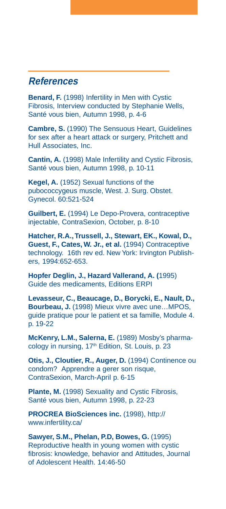## **References**

**Benard, F.** (1998) Infertility in Men with Cystic Fibrosis, Interview conducted by Stephanie Wells, Santé vous bien, Autumn 1998, p. 4-6

**Cambre, S.** (1990) The Sensuous Heart, Guidelines for sex after a heart attack or surgery, Pritchett and Hull Associates, Inc.

**Cantin, A.** (1998) Male Infertility and Cystic Fibrosis, Santé vous bien, Autumn 1998, p. 10-11

**Kegel, A.** (1952) Sexual functions of the pubococcygeus muscle, West. J. Surg. Obstet. Gynecol. 60:521-524

**Guilbert, E.** (1994) Le Depo-Provera, contraceptive injectable, ContraSexion, October, p. 8-10

**Hatcher, R.A., Trussell, J., Stewart, EK., Kowal, D., Guest, F., Cates, W. Jr., et al.** (1994) Contraceptive technology. 16th rev ed. New York: Irvington Publishers, 1994:652-653.

**Hopfer Deglin, J., Hazard Vallerand, A. (**1995) Guide des medicaments, Editions ERPI

**Levasseur, C., Beaucage, D., Borycki, E., Nault, D., Bourbeau, J.** (1998) Mieux vivre avec une…MPOS, guide pratique pour le patient et sa famille, Module 4. p. 19-22

**McKenry, L.M., Salerna, E.** (1989) Mosby's pharmacology in nursing, 17<sup>th</sup> Edition, St. Louis, p. 23

**Otis, J., Cloutier, R., Auger, D.** (1994) Continence ou condom? Apprendre a gerer son risque, ContraSexion, March-April p. 6-15

**Plante, M.** (1998) Sexuality and Cystic Fibrosis, Santé vous bien, Autumn 1998, p. 22-23

**PROCREA BioSciences inc.** (1998), http:// <www.infertility.ca>/

**Sawyer, S.M., Phelan, P.D, Bowes, G.** (1995) Reproductive health in young women with cystic fibrosis: knowledge, behavior and Attitudes, Journal of Adolescent Health. 14:46-50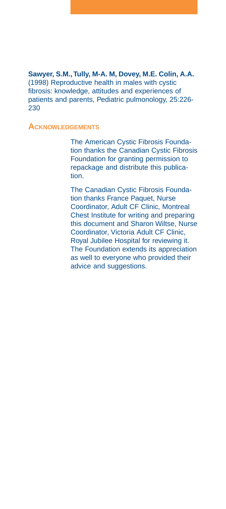### **Sawyer, S.M.,Tully, M-A. M, Dovey, M.E. Colin, A.A.**

(1998) Reproductive health in males with cystic fibrosis: knowledge, attitudes and experiences of patients and parents, Pediatric pulmonology, 25:226- 230

### **ACKNOWLEDGEMENTS**

The American Cystic Fibrosis Foundation thanks the Canadian Cystic Fibrosis Foundation for granting permission to repackage and distribute this publication.

The Canadian Cystic Fibrosis Foundation thanks France Paquet, Nurse Coordinator, Adult CF Clinic, Montreal Chest Institute for writing and preparing this document and Sharon Wiltse, Nurse Coordinator, Victoria Adult CF Clinic, Royal Jubilee Hospital for reviewing it. The Foundation extends its appreciation as well to everyone who provided their advice and suggestions.